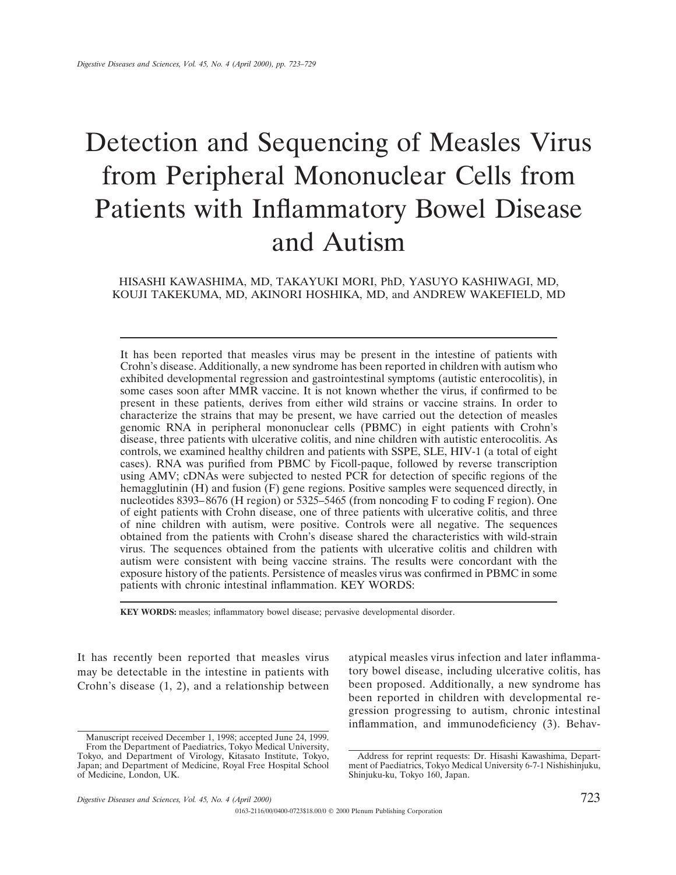# Detection and Sequencing of Measles Virus from Peripheral Mononuclear Cells from Patients with Inflammatory Bowel Disease and Autism

HISASHI KAWASHIMA, MD, TAKAYUKI MORI, PhD, YASUYO KASHIWAGI, MD, KOUJI TAKEKUMA, MD, AKINORI HOSHIKA, MD, and ANDREW WAKEFIELD, MD

It has been reported that measles virus may be present in the intestine of patients with Crohn's disease. Additionally, a new syndrome has been reported in children with autism who exhibited developmental regression and gastrointestinal symptoms (autistic enterocolitis), in some cases soon after MMR vaccine. It is not known whether the virus, if confirmed to be present in these patients, derives from either wild strains or vaccine strains. In order to characterize the strains that may be present, we have carried out the detection of measles genomic RNA in peripheral mononuclear cells (PBMC) in eight patients with Crohn's disease, three patients with ulcerative colitis, and nine children with autistic enterocolitis. As controls, we examined healthy children and patients with SSPE, SLE, HIV-1 (a total of eight cases). RNA was purified from PBMC by Ficoll-paque, followed by reverse transcription using AMV; cDNAs were subjected to nested PCR for detection of specific regions of the hemagglutinin (H) and fusion (F) gene regions. Positive samples were sequenced directly, in nucleotides 8393–8676 (H region) or 5325–5465 (from noncoding F to coding F region). One of eight patients with Crohn disease, one of three patients with ulcerative colitis, and three of nine children with autism, were positive. Controls were all negative. The sequences obtained from the patients with Crohn's disease shared the characteristics with wild-strain virus. The sequences obtained from the patients with ulcerative colitis and children with autism were consistent with being vaccine strains. The results were concordant with the exposure history of the patients. Persistence of measles virus was confirmed in PBMC in some patients with chronic intestinal inflammation. KEY WORDS:

**KEY WORDS:** measles; inflammatory bowel disease; pervasive developmental disorder.

It has recently been reported that measles virus may be detectable in the intestine in patients with Crohn's disease (1, 2), and a relationship between

atypical measles virus infection and later inflammatory bowel disease, including ulcerative colitis, has been proposed. Additionally, a new syndrome has been reported in children with developmental regression progressing to autism, chronic intestinal inflammation, and immunodeficiency (3). Behav-

Manuscript received December 1, 1998; accepted June 24, 1999. From the Department of Paediatrics, Tokyo Medical University, Tokyo, and Department of Virology, Kitasato Institute, Tokyo, Japan; and Department of Medicine, Royal Free Hospital School of Medicine, London, UK.

Address for reprint requests: Dr. Hisashi Kawashima, Department of Paediatrics, Tokyo Medical University 6-7-1 Nishishinjuku, Shinjuku-ku, Tokyo 160, Japan.

*Digestive Diseases and Sciences, Vol. 45, No. 4 (April 2000)* 723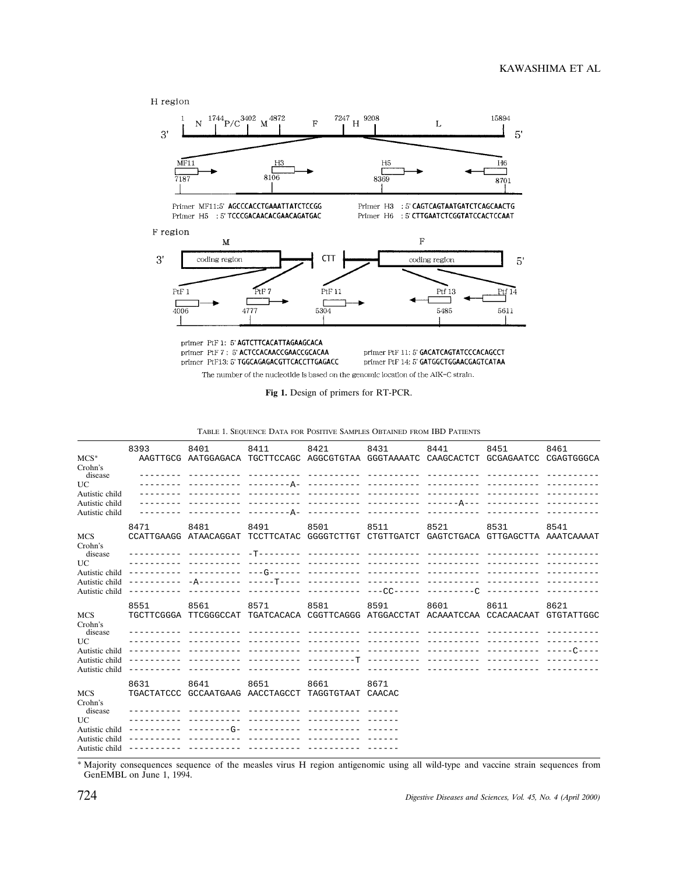

The number of the nucleotide is based on the genomic location of the AIK-C strain.

**Fig 1.** Design of primers for RT-PCR.

|  |  | TABLE 1. SEOUENCE DATA FOR POSITIVE SAMPLES OBTAINED FROM IBD PATIENTS |
|--|--|------------------------------------------------------------------------|
|--|--|------------------------------------------------------------------------|

|                | 8393 | 8401                                               | 8411         | 8421 | 8431 | 8441                                                                                    | 8451 | 8461 |
|----------------|------|----------------------------------------------------|--------------|------|------|-----------------------------------------------------------------------------------------|------|------|
| $MCS^*$        |      |                                                    |              |      |      | AAGTTGCG AATGGAGACA TGCTTCCAGC AGGCGTGTAA GGGTAAAATC CAAGCACTCT GCGAGAATCC CGAGTGGGCA   |      |      |
| Crohn's        |      |                                                    |              |      |      |                                                                                         |      |      |
| disease        |      |                                                    |              |      |      |                                                                                         |      |      |
| UC             |      |                                                    |              |      |      |                                                                                         |      |      |
| Autistic child |      |                                                    |              |      |      |                                                                                         |      |      |
| Autistic child |      |                                                    |              |      |      |                                                                                         |      |      |
| Autistic child |      |                                                    |              |      |      |                                                                                         |      |      |
|                | 8471 | 8481                                               | 8491         | 8501 | 8511 | 8521                                                                                    | 8531 | 8541 |
| <b>MCS</b>     |      |                                                    |              |      |      | CCATTGAAGG ATAACAGGAT TCCTTCATAC GGGGTCTTGT CTGTTGATCT GAGTCTGACA GTTGAGCTTA AAATCAAAAT |      |      |
| Crohn's        |      |                                                    |              |      |      |                                                                                         |      |      |
| disease        |      |                                                    |              |      |      |                                                                                         |      |      |
| UC             |      |                                                    |              |      |      |                                                                                         |      |      |
|                |      |                                                    |              |      |      |                                                                                         |      |      |
|                |      |                                                    |              |      |      |                                                                                         |      |      |
| Autistic child |      |                                                    |              |      |      |                                                                                         |      |      |
|                | 8551 | 8561                                               | 8571<br>8581 |      | 8591 | 8601                                                                                    | 8611 | 8621 |
| <b>MCS</b>     |      |                                                    |              |      |      | TGCTTCGGGA TTCGGGCCAT TGATCACACA CGGTTCAGGG ATGGACCTAT ACAAATCCAA CCACAACAAT GTGTATTGGC |      |      |
| Crohn's        |      |                                                    |              |      |      |                                                                                         |      |      |
| disease        |      |                                                    |              |      |      |                                                                                         |      |      |
| UC             |      |                                                    |              |      |      |                                                                                         |      |      |
| Autistic child |      |                                                    |              |      |      |                                                                                         |      |      |
| Autistic child |      |                                                    |              |      |      |                                                                                         |      |      |
| Autistic child |      |                                                    |              |      |      |                                                                                         |      |      |
|                | 8631 | 8641                                               | 8651         | 8661 | 8671 |                                                                                         |      |      |
| <b>MCS</b>     |      | TGACTATCCC GCCAATGAAG AACCTAGCCT TAGGTGTAAT CAACAC |              |      |      |                                                                                         |      |      |
| Crohn's        |      |                                                    |              |      |      |                                                                                         |      |      |
| disease        |      |                                                    |              |      |      |                                                                                         |      |      |
| UC             |      |                                                    |              |      |      |                                                                                         |      |      |
| Autistic child |      |                                                    |              |      |      |                                                                                         |      |      |
| Autistic child |      |                                                    |              |      |      |                                                                                         |      |      |
| Autistic child |      |                                                    |              |      |      |                                                                                         |      |      |

\* Majority consequences sequence of the measles virus H region antigenomic using all wild-type and vaccine strain sequences from GenEMBL on June 1, 1994.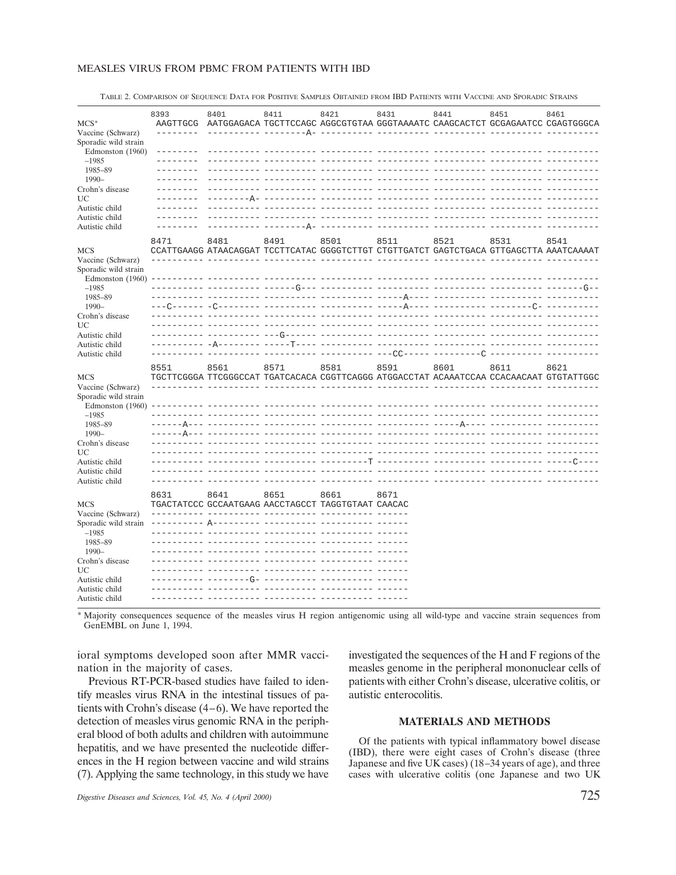## MEASLES VIRUS FROM PBMC FROM PATIENTS WITH IBD

|  |  | TABLE 2. COMPARISON OF SEOUENCE DATA FOR POSITIVE SAMPLES OBTAINED FROM IBD PATIENTS WITH VACCINE AND SPORADIC STRAINS |  |  |  |  |  |
|--|--|------------------------------------------------------------------------------------------------------------------------|--|--|--|--|--|
|--|--|------------------------------------------------------------------------------------------------------------------------|--|--|--|--|--|

| $MCS*$<br>Vaccine (Schwarz)               | 8393<br>AAGTTGCG  | 8401                                               | 8411                   | 8421 | 8431<br>AATGGAGACA TGCTTCCAGC AGGCGTGTAA GGGTAAAATC CAAGCACTCT GCGAGAATCC CGAGTGGCA     | 8441 | 8451 | 8461 |
|-------------------------------------------|-------------------|----------------------------------------------------|------------------------|------|-----------------------------------------------------------------------------------------|------|------|------|
| Sporadic wild strain                      | $- - - - - - - -$ |                                                    |                        |      |                                                                                         |      |      |      |
| Edmonston (1960)<br>$-1985$               |                   |                                                    |                        |      |                                                                                         |      |      |      |
| 1985-89                                   |                   |                                                    |                        |      |                                                                                         |      |      |      |
| $1990 -$                                  |                   |                                                    |                        |      |                                                                                         |      |      |      |
| Crohn's disease                           |                   |                                                    |                        |      |                                                                                         |      |      |      |
| UC                                        |                   | $------A-$                                         |                        |      |                                                                                         |      |      |      |
| Autistic child                            |                   |                                                    |                        |      |                                                                                         |      |      |      |
| Autistic child                            |                   |                                                    |                        |      |                                                                                         |      |      |      |
| Autistic child                            |                   |                                                    |                        |      |                                                                                         |      |      |      |
|                                           | 8471              | 8481                                               | 8491                   | 8501 | 8511                                                                                    | 8521 | 8531 | 8541 |
| <b>MCS</b>                                |                   |                                                    |                        |      | CCATTGAAGG ATAACAGGAT TCCTTCATAC GGGGTCTTGT CTGTTGATCT GAGTCTGACA GTTGAGCTTA AAATCAAAAT |      |      |      |
| Vaccine (Schwarz)<br>Sporadic wild strain |                   |                                                    |                        |      |                                                                                         |      |      |      |
| $-1985$                                   |                   |                                                    |                        |      |                                                                                         |      |      |      |
| 1985-89                                   |                   |                                                    |                        |      |                                                                                         |      |      |      |
| 1990-                                     |                   |                                                    |                        |      |                                                                                         |      |      |      |
| Crohn's disease                           |                   |                                                    |                        |      |                                                                                         |      |      |      |
| UC.                                       |                   |                                                    |                        |      |                                                                                         |      |      |      |
| Autistic child                            |                   |                                                    |                        |      |                                                                                         |      |      |      |
| Autistic child<br>Autistic child          |                   |                                                    |                        |      |                                                                                         |      |      |      |
|                                           | 8551              | 8561                                               | 8571                   | 8581 | 8591                                                                                    | 8601 | 8611 | 8621 |
| MCS                                       |                   |                                                    |                        |      | TGCTTCGGGA TTCGGGCCAT TGATCACACA CGGTTCAGGG ATGGACCTAT ACAAATCCAA CCACAACAAT GTGTATTGGC |      |      |      |
| Vaccine (Schwarz)                         |                   |                                                    | _________ __           |      |                                                                                         |      |      |      |
| Sporadic wild strain                      |                   |                                                    |                        |      | __________                                                                              |      |      |      |
| $-1985$                                   |                   |                                                    |                        |      |                                                                                         |      |      |      |
| 1985-89                                   |                   |                                                    |                        |      |                                                                                         |      |      |      |
| 1990-                                     |                   |                                                    |                        |      |                                                                                         |      |      |      |
| Crohn's disease                           |                   |                                                    |                        |      |                                                                                         |      |      |      |
| UC.                                       |                   |                                                    |                        |      |                                                                                         |      |      |      |
| Autistic child                            |                   |                                                    |                        |      |                                                                                         |      |      |      |
| Autistic child                            |                   |                                                    |                        |      |                                                                                         |      |      |      |
| Autistic child                            |                   |                                                    |                        |      |                                                                                         |      |      |      |
|                                           | 8631              | 8641                                               | 8651                   | 8661 | 8671                                                                                    |      |      |      |
| <b>MCS</b>                                |                   | TGACTATCCC GCCAATGAAG AACCTAGCCT TAGGTGTAAT CAACAC |                        |      |                                                                                         |      |      |      |
| Vaccine (Schwarz)                         |                   |                                                    | ______ ___________ ___ |      |                                                                                         |      |      |      |
| Sporadic wild strain                      |                   | – A–                                               | -------- ----------    |      |                                                                                         |      |      |      |
| $-1985$<br>1985-89                        |                   |                                                    |                        |      |                                                                                         |      |      |      |
| 1990-                                     |                   |                                                    |                        |      |                                                                                         |      |      |      |
| Crohn's disease                           |                   |                                                    |                        |      |                                                                                         |      |      |      |
| UC                                        |                   |                                                    |                        |      |                                                                                         |      |      |      |
| Autistic child                            |                   | ------ --------G- ----------                       |                        |      |                                                                                         |      |      |      |
| Autistic child                            |                   | -------- ---------- --------                       |                        |      |                                                                                         |      |      |      |
| Autistic child                            |                   | _________ ___________ _______                      |                        |      |                                                                                         |      |      |      |

\* Majority consequences sequence of the measles virus H region antigenomic using all wild-type and vaccine strain sequences from GenEMBL on June 1, 1994.

ioral symptoms developed soon after MMR vaccination in the majority of cases.

Previous RT-PCR-based studies have failed to identify measles virus RNA in the intestinal tissues of patients with Crohn's disease (4–6). We have reported the detection of measles virus genomic RNA in the peripheral blood of both adults and children with autoimmune hepatitis, and we have presented the nucleotide differences in the H region between vaccine and wild strains (7). Applying the same technology, in this study we have investigated the sequences of the H and F regions of the measles genome in the peripheral mononuclear cells of patients with either Crohn's disease, ulcerative colitis, or autistic enterocolitis.

## **MATERIALS AND METHODS**

Of the patients with typical inflammatory bowel disease (IBD), there were eight cases of Crohn's disease (three Japanese and five UK cases) (18–34 years of age), and three cases with ulcerative colitis (one Japanese and two UK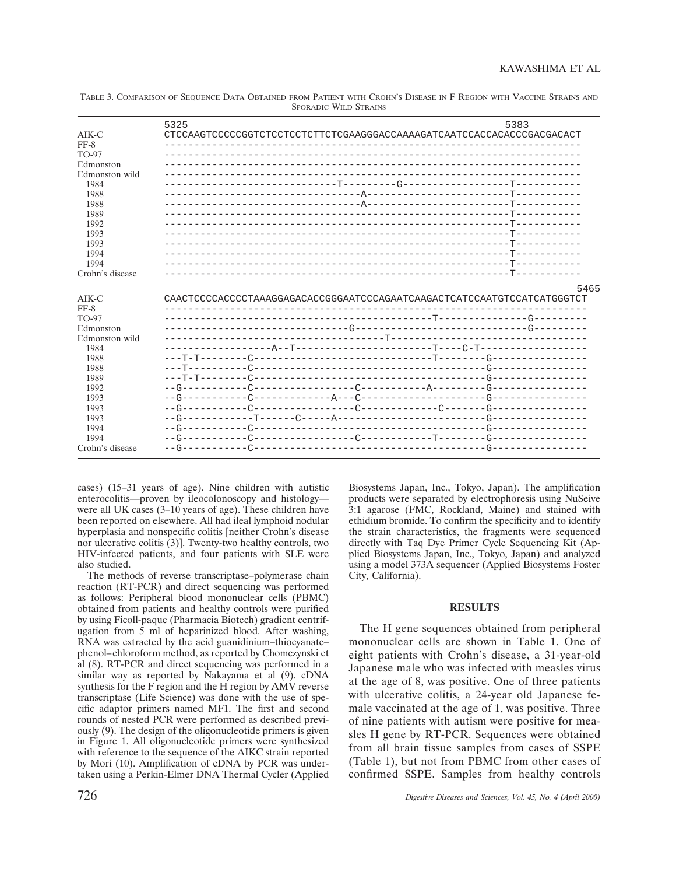|  | TABLE 3. COMPARISON OF SEOUENCE DATA OBTAINED FROM PATIENT WITH CROHN'S DISEASE IN F REGION WITH VACCINE STRAINS AND |                       |  |  |  |
|--|----------------------------------------------------------------------------------------------------------------------|-----------------------|--|--|--|
|  |                                                                                                                      | SPORADIC WILD STRAINS |  |  |  |

|                                       | 5325                                                                                                   | 5383                 |
|---------------------------------------|--------------------------------------------------------------------------------------------------------|----------------------|
| AIK-C                                 | CTCCAAGTCCCCCGGTCTCCTCCTCTTCTCGAAGGGACCAAAAGATCAATCCACCACACCCGACGACACT                                 |                      |
| $FF-8$                                |                                                                                                        |                      |
| <b>TO-97</b>                          |                                                                                                        |                      |
| Edmonston                             |                                                                                                        |                      |
| Edmonston wild                        |                                                                                                        |                      |
| 1984                                  |                                                                                                        |                      |
| 1988                                  |                                                                                                        |                      |
| 1988                                  |                                                                                                        | ----------           |
| 1989                                  |                                                                                                        | ____________________ |
| 1992                                  |                                                                                                        |                      |
| 1993                                  |                                                                                                        |                      |
| 1993                                  |                                                                                                        |                      |
| 1994                                  |                                                                                                        |                      |
| 1994                                  | __________________________________                                                                     |                      |
| Crohn's disease                       | ______________________________                                                                         |                      |
| AIK-C<br>$FF-8$<br>TO-97<br>Edmonston | CAACTCCCCACCCCTAAAGGAGACACCGGGAATCCCAGAATCAAGACTCATCCAATGTCCATCATGGGTCT<br>___________________________ |                      |
| Edmonston wild                        |                                                                                                        |                      |
| 1984                                  |                                                                                                        |                      |
| 1988                                  |                                                                                                        |                      |
| 1988                                  |                                                                                                        |                      |
| 1989                                  | -----------------                                                                                      |                      |
| 1992                                  | ---------------C---------------------C                                                                 | _______________      |
| 1993                                  | ----------A---C---------------                                                                         | --------------       |
| 1993                                  |                                                                                                        |                      |
| 1993                                  |                                                                                                        |                      |
| 1994                                  | ------------                                                                                           | <u>– – – – – G</u>   |
| 1994                                  |                                                                                                        |                      |
| Crohn's disease                       |                                                                                                        |                      |
|                                       |                                                                                                        |                      |

cases) (15–31 years of age). Nine children with autistic enterocolitis—proven by ileocolonoscopy and histology were all UK cases (3–10 years of age). These children have been reported on elsewhere. All had ileal lymphoid nodular hyperplasia and nonspecific colitis [neither Crohn's disease nor ulcerative colitis  $(3)$ ]. Twenty-two healthy controls, two HIV-infected patients, and four patients with SLE were also studied.

The methods of reverse transcriptase–polymerase chain reaction (RT-PCR) and direct sequencing was performed as follows: Peripheral blood mononuclear cells (PBMC) obtained from patients and healthy controls were purified by using Ficoll-paque (Pharmacia Biotech) gradient centrifugation from 5 ml of heparinized blood. After washing, RNA was extracted by the acid guanidinium–thiocyanate– phenol–chloroform method, as reported by Chomczynski et al (8). RT-PCR and direct sequencing was performed in a similar way as reported by Nakayama et al (9). cDNA synthesis for the F region and the H region by AMV reverse transcriptase (Life Science) was done with the use of specific adaptor primers named MF1. The first and second rounds of nested PCR were performed as described previously (9). The design of the oligonucleotide primers is given in Figure 1. All oligonucleotide primers were synthesized with reference to the sequence of the AIKC strain reported by Mori (10). Amplification of cDNA by PCR was undertaken using a Perkin-Elmer DNA Thermal Cycler (Applied Biosystems Japan, Inc., Tokyo, Japan). The amplification products were separated by electrophoresis using NuSeive 3:1 agarose (FMC, Rockland, Maine) and stained with ethidium bromide. To confirm the specificity and to identify the strain characteristics, the fragments were sequenced directly with Taq Dye Primer Cycle Sequencing Kit (Applied Biosystems Japan, Inc., Tokyo, Japan) and analyzed using a model 373A sequencer (Applied Biosystems Foster City, California).

#### **RESULTS**

The H gene sequences obtained from peripheral mononuclear cells are shown in Table 1. One of eight patients with Crohn's disease, a 31-year-old Japanese male who was infected with measles virus at the age of 8, was positive. One of three patients with ulcerative colitis, a 24-year old Japanese female vaccinated at the age of 1, was positive. Three of nine patients with autism were positive for measles H gene by RT-PCR. Sequences were obtained from all brain tissue samples from cases of SSPE (Table 1), but not from PBMC from other cases of confirmed SSPE. Samples from healthy controls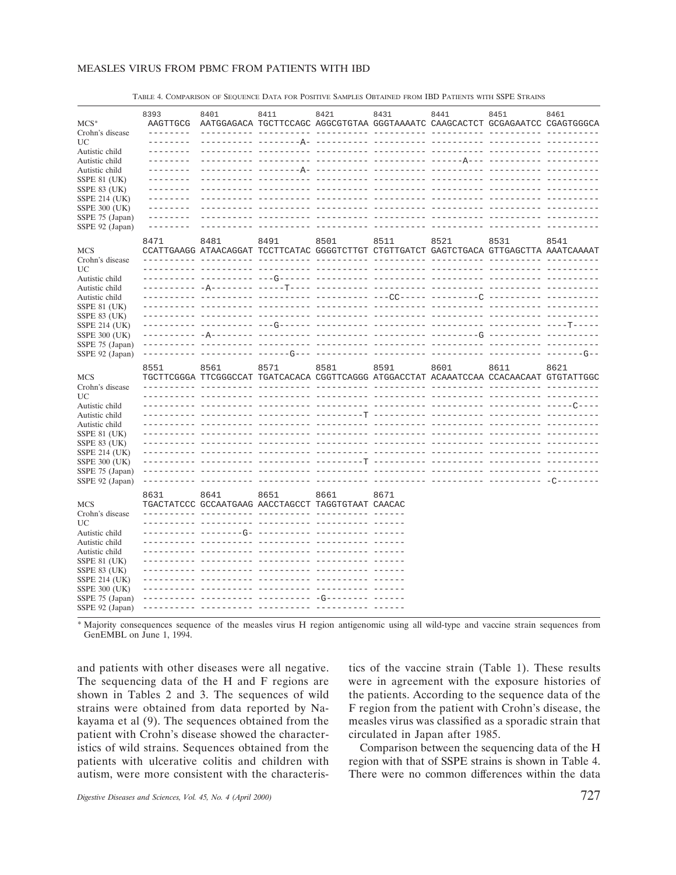## MEASLES VIRUS FROM PBMC FROM PATIENTS WITH IBD

|  |  |  |  | TABLE 4. COMPARISON OF SEOUENCE DATA FOR POSITIVE SAMPLES OBTAINED FROM IBD PATIENTS WITH SSPE STRAINS |  |  |  |
|--|--|--|--|--------------------------------------------------------------------------------------------------------|--|--|--|
|--|--|--|--|--------------------------------------------------------------------------------------------------------|--|--|--|

| $\ensuremath{\mathsf{MCS}^*}\xspace$<br>Crohn's disease | 8393<br>AAGTTGCG<br>-------- | 8401                                                                                            | 8411<br>AATGGAGACA TGCTTCCAGC AGGCGTGTAA GGGTAAAATC CAAGCACTCT GCGAGAATCC CGAGTGGGCA | 8421<br>$\begin{array}{cccccccccc} \bot & \bot & \bot & \bot & \bot & \bot \end{array}$ | 8431                                   | 8441        | 8451      | 8461                       |
|---------------------------------------------------------|------------------------------|-------------------------------------------------------------------------------------------------|--------------------------------------------------------------------------------------|-----------------------------------------------------------------------------------------|----------------------------------------|-------------|-----------|----------------------------|
| UC.<br>Autistic child                                   | --------<br>---------        |                                                                                                 | ----------                                                                           | $---A - --- --- --- -$<br>_________________________                                     | -- ----------- --------                | ___________ |           |                            |
| Autistic child                                          | --------                     |                                                                                                 |                                                                                      |                                                                                         | ---------- ---------- -------A--- ---- |             |           |                            |
| Autistic child<br>SSPE 81 (UK)                          | $- - - - -$                  |                                                                                                 | $---A-$                                                                              |                                                                                         |                                        |             |           |                            |
| SSPE 83 (UK)                                            | --------                     |                                                                                                 |                                                                                      |                                                                                         |                                        |             |           |                            |
| <b>SSPE 214 (UK)</b><br><b>SSPE 300 (UK)</b>            |                              |                                                                                                 |                                                                                      |                                                                                         |                                        |             |           |                            |
| SSPE 75 (Japan)                                         |                              |                                                                                                 |                                                                                      |                                                                                         |                                        |             |           |                            |
| SSPE 92 (Japan)                                         |                              |                                                                                                 |                                                                                      |                                                                                         |                                        |             |           |                            |
| <b>MCS</b><br>Crohn's disease                           | 8471                         | 8481<br>CCATTGAAGG ATAACAGGAT TCCTTCATAC GGGGTCTTGT CTGTTGATCT GAGTCTGACA GTTGAGCTTA AAATCAAAAT | 8491                                                                                 | 8501<br>$\frac{1}{2}$                                                                   | 8511<br>$\frac{1}{2}$<br>$\frac{1}{2}$ | 8521        | 8531      | 8541                       |
| UC                                                      |                              |                                                                                                 |                                                                                      |                                                                                         |                                        |             |           |                            |
| Autistic child<br>Autistic child                        |                              |                                                                                                 |                                                                                      |                                                                                         |                                        |             |           |                            |
| Autistic child                                          |                              |                                                                                                 |                                                                                      |                                                                                         |                                        |             | _________ |                            |
| SSPE 81 (UK)                                            |                              |                                                                                                 |                                                                                      |                                                                                         |                                        |             |           |                            |
| SSPE 83 (UK)<br><b>SSPE 214 (UK)</b>                    |                              |                                                                                                 |                                                                                      |                                                                                         |                                        |             |           | --- エ                      |
| <b>SSPE 300 (UK)</b>                                    |                              |                                                                                                 |                                                                                      |                                                                                         |                                        |             |           |                            |
| SSPE 75 (Japan)<br>SSPE 92 (Japan)                      |                              |                                                                                                 |                                                                                      |                                                                                         |                                        |             |           | – – – – – <del>G</del> – – |
|                                                         | 8551                         | 8561                                                                                            | 8571                                                                                 | 8581                                                                                    | 8591                                   | 8601        | 8611      | 8621                       |
| <b>MCS</b><br>Crohn's disease                           |                              | TGCTTCGGGA TTCGGGCCAT TGATCACACA CGGTTCAGGG ATGGACCTAT ACAAATCCAA CCACAACAAT GTGTATTGGC         |                                                                                      |                                                                                         |                                        |             |           |                            |
| UC                                                      |                              |                                                                                                 |                                                                                      |                                                                                         |                                        |             |           |                            |
| Autistic child<br>Autistic child                        |                              |                                                                                                 |                                                                                      |                                                                                         | --------- ---------- ----------- ----  |             |           |                            |
| Autistic child                                          |                              |                                                                                                 |                                                                                      |                                                                                         |                                        |             |           |                            |
| SSPE 81 (UK)<br>SSPE 83 (UK)                            |                              |                                                                                                 |                                                                                      |                                                                                         |                                        |             |           |                            |
| <b>SSPE 214 (UK)</b>                                    |                              |                                                                                                 |                                                                                      |                                                                                         |                                        |             |           |                            |
| <b>SSPE 300 (UK)</b>                                    |                              |                                                                                                 |                                                                                      | ---------                                                                               |                                        |             |           |                            |
| SSPE 75 (Japan)<br>SSPE 92 (Japan)                      |                              |                                                                                                 |                                                                                      | ___________                                                                             |                                        |             |           | $-C-$                      |
| <b>MCS</b><br>Crohn's disease<br>UC.<br>Autistic child  | 8631                         | 8641<br>TGACTATCCC GCCAATGAAG AACCTAGCCT TAGGTGTAAT CAACAC                                      | 8651                                                                                 | 8661                                                                                    | 8671                                   |             |           |                            |
|                                                         |                              |                                                                                                 |                                                                                      |                                                                                         |                                        |             |           |                            |
|                                                         |                              |                                                                                                 | -- -----------                                                                       | ___________                                                                             |                                        |             |           |                            |
|                                                         |                              |                                                                                                 | -----G- ----------                                                                   | $\frac{1}{2}$                                                                           |                                        |             |           |                            |
| Autistic child                                          |                              |                                                                                                 |                                                                                      |                                                                                         |                                        |             |           |                            |
| Autistic child<br>SSPE $81$ (UK)                        |                              |                                                                                                 |                                                                                      |                                                                                         |                                        |             |           |                            |
| SSPE 83 (UK)                                            |                              |                                                                                                 |                                                                                      |                                                                                         |                                        |             |           |                            |
| <b>SSPE 214 (UK)</b><br><b>SSPE 300 (UK)</b>            |                              |                                                                                                 | ------ --------                                                                      |                                                                                         |                                        |             |           |                            |
| SSPE 75 (Japan)<br>SSPE 92 (Japan)                      |                              |                                                                                                 |                                                                                      | $-G-------$<br>___________                                                              |                                        |             |           |                            |

\* Majority consequences sequence of the measles virus H region antigenomic using all wild-type and vaccine strain sequences from GenEMBL on June 1, 1994.

and patients with other diseases were all negative. The sequencing data of the H and F regions are shown in Tables 2 and 3. The sequences of wild strains were obtained from data reported by Nakayama et al (9). The sequences obtained from the patient with Crohn's disease showed the characteristics of wild strains. Sequences obtained from the patients with ulcerative colitis and children with autism, were more consistent with the characteristics of the vaccine strain (Table 1). These results were in agreement with the exposure histories of the patients. According to the sequence data of the F region from the patient with Crohn's disease, the measles virus was classified as a sporadic strain that circulated in Japan after 1985.

Comparison between the sequencing data of the H region with that of SSPE strains is shown in Table 4. There were no common differences within the data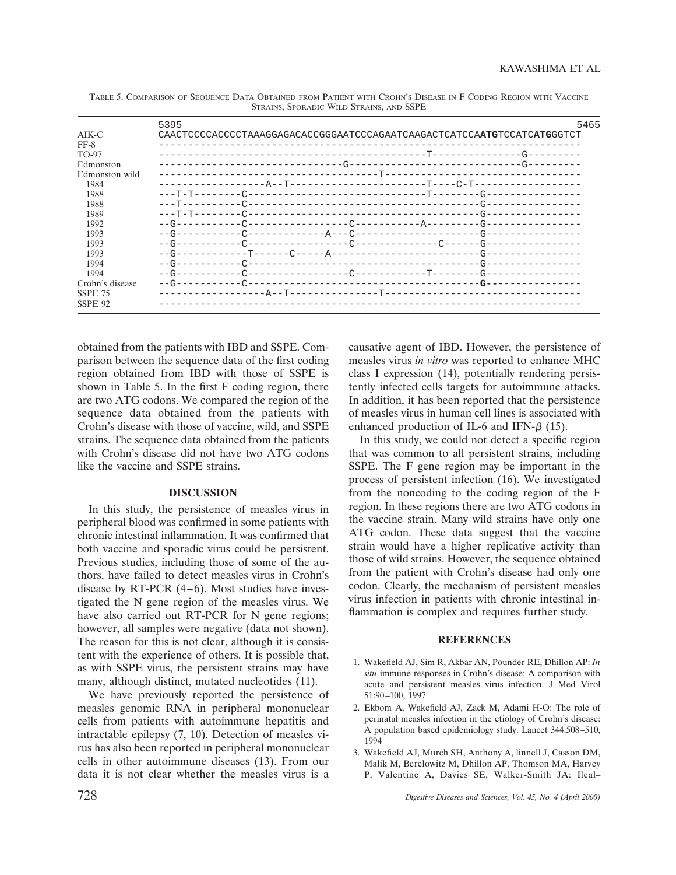| $AIK-C$         | 5395<br>5465<br>CAACTCCCCACCCCTAAAGGAGACACCGGGAATCCCAGAATCAAGACTCATCCA <b>ATG</b> TCCATC <b>ATG</b> GGTCT |  |                                        |  |       |                    |  |  |  |
|-----------------|-----------------------------------------------------------------------------------------------------------|--|----------------------------------------|--|-------|--------------------|--|--|--|
| $FF-8$          |                                                                                                           |  |                                        |  |       |                    |  |  |  |
| TO-97           |                                                                                                           |  |                                        |  |       |                    |  |  |  |
| Edmonston       |                                                                                                           |  |                                        |  |       |                    |  |  |  |
| Edmonston wild  |                                                                                                           |  |                                        |  |       |                    |  |  |  |
| 1984            |                                                                                                           |  |                                        |  |       |                    |  |  |  |
| 1988            |                                                                                                           |  |                                        |  |       |                    |  |  |  |
| 1988            |                                                                                                           |  |                                        |  |       |                    |  |  |  |
| 1989            |                                                                                                           |  |                                        |  |       |                    |  |  |  |
| 1992            | $- -G - - - - - - - -$                                                                                    |  |                                        |  |       | -C---------------- |  |  |  |
| 1993            | $- - G -$                                                                                                 |  |                                        |  |       |                    |  |  |  |
| 1993            |                                                                                                           |  |                                        |  |       |                    |  |  |  |
| 1993            |                                                                                                           |  |                                        |  |       |                    |  |  |  |
| 1994            | $---G-$                                                                                                   |  | ---------------------------------G-    |  |       |                    |  |  |  |
| 1994            |                                                                                                           |  | ---------------C-----------T------     |  | $-G-$ |                    |  |  |  |
| Crohn's disease |                                                                                                           |  | -------------------------------------G |  |       |                    |  |  |  |
| <b>SSPE 75</b>  |                                                                                                           |  |                                        |  |       |                    |  |  |  |
| SSPE 92         |                                                                                                           |  |                                        |  |       |                    |  |  |  |

TABLE 5. COMPARISON OF SEQUENCE DATA OBTAINED FROM PATIENT WITH CROHN'S DISEASE IN F CODING REGION WITH VACCINE STRAINS, SPORADIC WILD STRAINS, AND SSPE

obtained from the patients with IBD and SSPE. Comparison between the sequence data of the first coding region obtained from IBD with those of SSPE is shown in Table 5. In the first F coding region, there are two ATG codons. We compared the region of the sequence data obtained from the patients with Crohn's disease with those of vaccine, wild, and SSPE strains. The sequence data obtained from the patients with Crohn's disease did not have two ATG codons like the vaccine and SSPE strains.

#### **DISCUSSION**

In this study, the persistence of measles virus in peripheral blood was confirmed in some patients with chronic intestinal inflammation. It was confirmed that both vaccine and sporadic virus could be persistent. Previous studies, including those of some of the authors, have failed to detect measles virus in Crohn's disease by RT-PCR  $(4-6)$ . Most studies have investigated the N gene region of the measles virus. We have also carried out RT-PCR for N gene regions; however, all samples were negative (data not shown). The reason for this is not clear, although it is consistent with the experience of others. It is possible that, as with SSPE virus, the persistent strains may have many, although distinct, mutated nucleotides (11).

We have previously reported the persistence of measles genomic RNA in peripheral mononuclear cells from patients with autoimmune hepatitis and intractable epilepsy (7, 10). Detection of measles virus has also been reported in peripheral mononuclear cells in other autoimmune diseases (13). From our data it is not clear whether the measles virus is a

causative agent of IBD. However, the persistence of measles virus *in vitro* was reported to enhance MHC class I expression (14), potentially rendering persistently infected cells targets for autoimmune attacks. In addition, it has been reported that the persistence of measles virus in human cell lines is associated with enhanced production of IL-6 and IFN- $\beta$  (15).

In this study, we could not detect a specific region that was common to all persistent strains, including SSPE. The F gene region may be important in the process of persistent infection (16). We investigated from the noncoding to the coding region of the F region. In these regions there are two ATG codons in the vaccine strain. Many wild strains have only one ATG codon. These data suggest that the vaccine strain would have a higher replicative activity than those of wild strains. However, the sequence obtained from the patient with Crohn's disease had only one codon. Clearly, the mechanism of persistent measles virus infection in patients with chronic intestinal inflammation is complex and requires further study.

### **REFERENCES**

- 1. Wakefield AJ, Sim R, Akbar AN, Pounder RE, Dhillon AP: *In situ* immune responses in Crohn's disease: A comparison with acute and persistent measles virus infection. J Med Virol 51:90–100, 1997
- 2. Ekbom A, Wakefield AJ, Zack M, Adami H-O: The role of perinatal measles infection in the etiology of Crohn's disease: A population based epidemiology study. Lancet 344:508–510, 1994
- 3. Wakefield AJ, Murch SH, Anthony A, linnell J, Casson DM, Malik M, Berelowitz M, Dhillon AP, Thomson MA, Harvey P, Valentine A, Davies SE, Walker-Smith JA: Ileal–